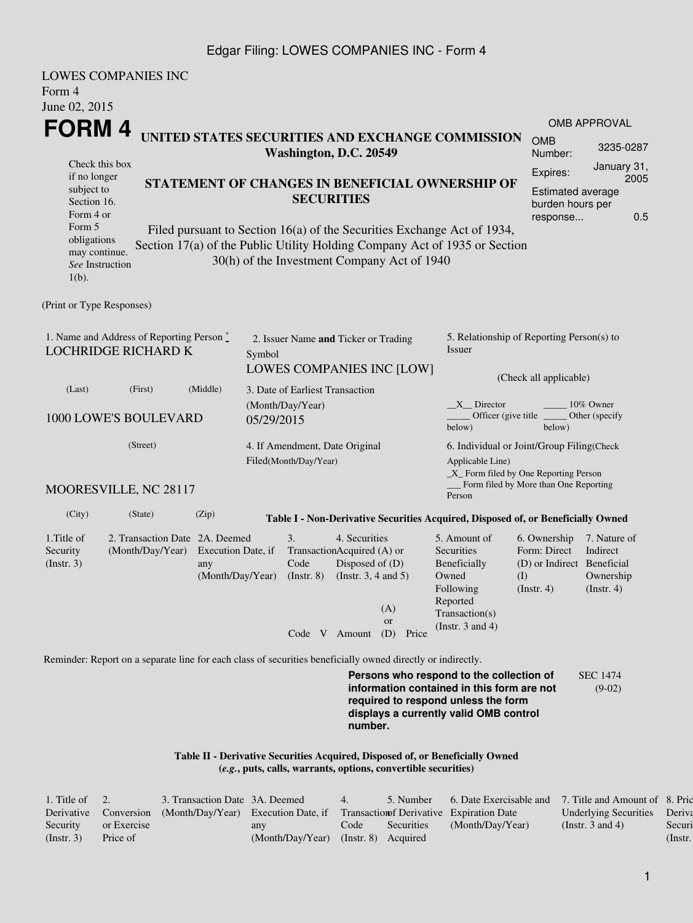#### Edgar Filing: LOWES COMPANIES INC - Form 4

| <b>LOWES COMPANIES INC</b><br>Form 4<br>June 02, 2015                                                                                             |                                                    |                                               |            |                                |                                                                                                             |                                                                |                                                                                                                                                                                                                    |                                                                                  |                                                           |  |  |
|---------------------------------------------------------------------------------------------------------------------------------------------------|----------------------------------------------------|-----------------------------------------------|------------|--------------------------------|-------------------------------------------------------------------------------------------------------------|----------------------------------------------------------------|--------------------------------------------------------------------------------------------------------------------------------------------------------------------------------------------------------------------|----------------------------------------------------------------------------------|-----------------------------------------------------------|--|--|
| FORM 4                                                                                                                                            |                                                    |                                               |            |                                |                                                                                                             |                                                                |                                                                                                                                                                                                                    |                                                                                  | <b>OMB APPROVAL</b>                                       |  |  |
|                                                                                                                                                   |                                                    |                                               |            |                                | Washington, D.C. 20549                                                                                      |                                                                | UNITED STATES SECURITIES AND EXCHANGE COMMISSION                                                                                                                                                                   | <b>OMB</b><br>Number:                                                            | 3235-0287                                                 |  |  |
| Check this box<br>if no longer<br>subject to<br>Section 16.<br>Form 4 or<br>Form 5<br>obligations<br>may continue.<br>See Instruction<br>$1(b)$ . |                                                    |                                               |            |                                | <b>SECURITIES</b>                                                                                           | 30(h) of the Investment Company Act of 1940                    | STATEMENT OF CHANGES IN BENEFICIAL OWNERSHIP OF<br>Filed pursuant to Section 16(a) of the Securities Exchange Act of 1934,<br>Section 17(a) of the Public Utility Holding Company Act of 1935 or Section           | Expires:<br><b>Estimated average</b><br>burden hours per<br>response             | January 31,<br>2005<br>0.5                                |  |  |
| (Print or Type Responses)                                                                                                                         |                                                    |                                               |            |                                |                                                                                                             |                                                                |                                                                                                                                                                                                                    |                                                                                  |                                                           |  |  |
| 1. Name and Address of Reporting Person *<br><b>LOCHRIDGE RICHARD K</b>                                                                           |                                                    |                                               | Symbol     |                                | 2. Issuer Name and Ticker or Trading                                                                        | <b>LOWES COMPANIES INC [LOW]</b>                               | 5. Relationship of Reporting Person(s) to<br>Issuer                                                                                                                                                                | (Check all applicable)                                                           |                                                           |  |  |
| (Last)                                                                                                                                            | (First)                                            | (Middle)                                      |            |                                | 3. Date of Earliest Transaction                                                                             |                                                                |                                                                                                                                                                                                                    |                                                                                  |                                                           |  |  |
| 1000 LOWE'S BOULEVARD                                                                                                                             |                                                    |                                               | 05/29/2015 | (Month/Day/Year)               |                                                                                                             |                                                                | $X$ <sub>Director</sub><br>10% Owner<br>Officer (give title $\overline{\phantom{a}}$<br>Other (specify<br>below)<br>below)                                                                                         |                                                                                  |                                                           |  |  |
| MOORESVILLE, NC 28117                                                                                                                             | (Street)                                           |                                               |            | Filed(Month/Day/Year)          | 4. If Amendment, Date Original                                                                              |                                                                | 6. Individual or Joint/Group Filing(Check<br>Applicable Line)<br>$\_X$ Form filed by One Reporting Person<br>Person                                                                                                | Form filed by More than One Reporting                                            |                                                           |  |  |
| (City)                                                                                                                                            | (State)                                            | (Zip)                                         |            |                                |                                                                                                             |                                                                |                                                                                                                                                                                                                    |                                                                                  |                                                           |  |  |
| 1. Title of<br>Security<br>(Insert. 3)                                                                                                            | 2. Transaction Date 2A. Deemed<br>(Month/Day/Year) | Execution Date, if<br>any<br>(Month/Day/Year) |            | 3.<br>Code<br>$($ Instr. 8 $)$ | 4. Securities<br>TransactionAcquired (A) or<br>Disposed of (D)<br>(Instr. $3, 4$ and $5$ )<br>Code V Amount | (A)<br><sub>or</sub><br>(D) Price                              | Table I - Non-Derivative Securities Acquired, Disposed of, or Beneficially Owned<br>5. Amount of<br><b>Securities</b><br>Beneficially<br>Owned<br>Following<br>Reported<br>Transaction(s)<br>(Instr. $3$ and $4$ ) | 6. Ownership<br>Form: Direct<br>(D) or Indirect Beneficial<br>(I)<br>(Insert. 4) | 7. Nature of<br>Indirect<br>Ownership<br>$($ lnstr. 4 $)$ |  |  |
| Reminder: Report on a separate line for each class of securities beneficially owned directly or indirectly.                                       |                                                    |                                               |            |                                |                                                                                                             |                                                                |                                                                                                                                                                                                                    |                                                                                  |                                                           |  |  |
|                                                                                                                                                   |                                                    |                                               |            |                                | number.                                                                                                     |                                                                | Persons who respond to the collection of<br>information contained in this form are not<br>required to respond unless the form<br>displays a currently valid OMB control                                            |                                                                                  | <b>SEC 1474</b><br>$(9-02)$                               |  |  |
|                                                                                                                                                   |                                                    |                                               |            |                                |                                                                                                             | (e.g., puts, calls, warrants, options, convertible securities) | Table II - Derivative Securities Acquired, Disposed of, or Beneficially Owned                                                                                                                                      |                                                                                  |                                                           |  |  |

| 1. Title of $\quad 2.$ |             | 3. Transaction Date 3A. Deemed                                                                      |                                        | 4.   | 5. Number  | 6. Date Exercisable and | 7. Title and Amount of 8. Pric |         |
|------------------------|-------------|-----------------------------------------------------------------------------------------------------|----------------------------------------|------|------------|-------------------------|--------------------------------|---------|
|                        |             | Derivative Conversion (Month/Day/Year) Execution Date, if Transaction of Derivative Expiration Date |                                        |      |            |                         | Underlying Securities Deriva   |         |
| Security               | or Exercise |                                                                                                     | any                                    | Code | Securities | (Month/Day/Year)        | (Instr. $3$ and $4$ )          | Securi  |
| $($ Instr. 3 $)$       | Price of    |                                                                                                     | $(Month/Day/Year)$ (Instr. 8) Acquired |      |            |                         |                                | (Instr. |